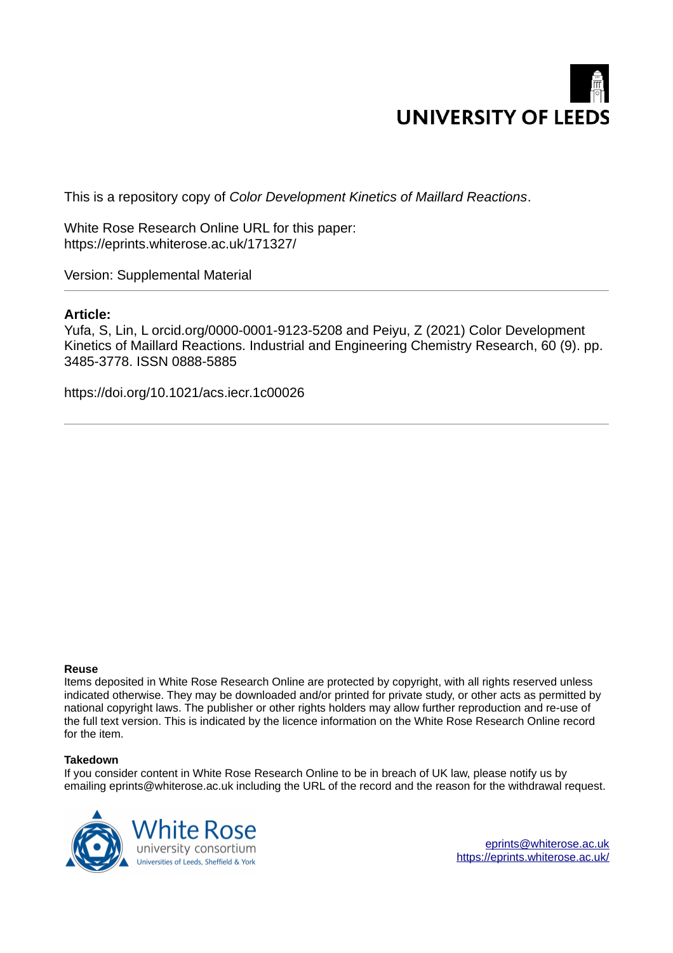

This is a repository copy of *Color Development Kinetics of Maillard Reactions*.

White Rose Research Online URL for this paper: https://eprints.whiterose.ac.uk/171327/

Version: Supplemental Material

### **Article:**

Yufa, S, Lin, L orcid.org/0000-0001-9123-5208 and Peiyu, Z (2021) Color Development Kinetics of Maillard Reactions. Industrial and Engineering Chemistry Research, 60 (9). pp. 3485-3778. ISSN 0888-5885

https://doi.org/10.1021/acs.iecr.1c00026

#### **Reuse**

Items deposited in White Rose Research Online are protected by copyright, with all rights reserved unless indicated otherwise. They may be downloaded and/or printed for private study, or other acts as permitted by national copyright laws. The publisher or other rights holders may allow further reproduction and re-use of the full text version. This is indicated by the licence information on the White Rose Research Online record for the item.

#### **Takedown**

If you consider content in White Rose Research Online to be in breach of UK law, please notify us by emailing eprints@whiterose.ac.uk including the URL of the record and the reason for the withdrawal request.



eprints@whiterose.ac.uk https://eprints.whiterose.ac.uk/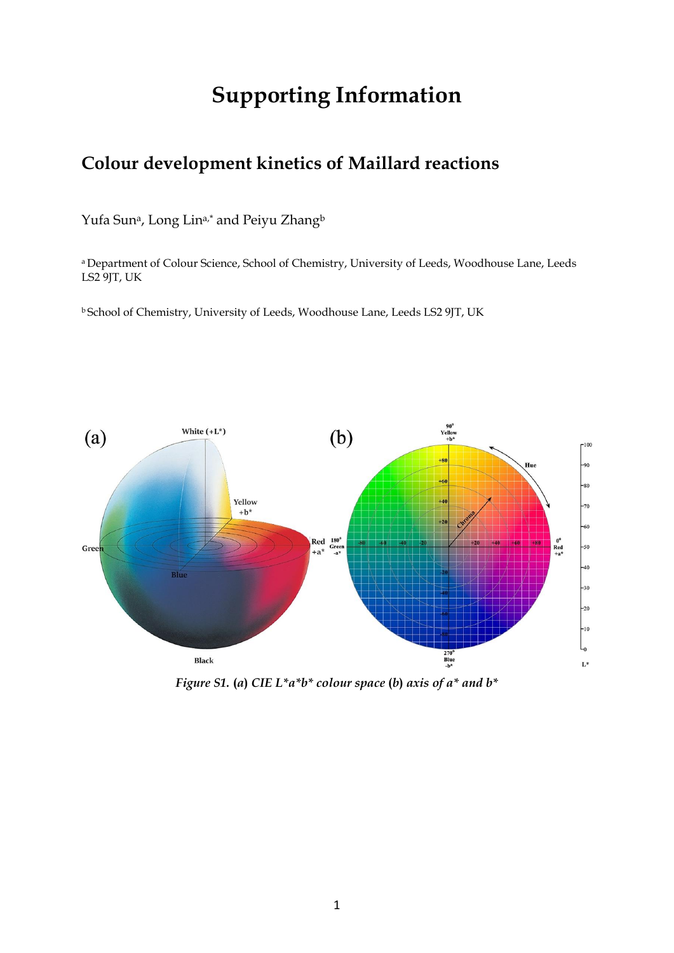# **Supporting Information**

## **Colour development kinetics of Maillard reactions**

Yufa Sun<sup>a</sup>, Long Lin<sup>a,\*</sup> and Peiyu Zhang<sup>b</sup>

a Department of Colour Science, School of Chemistry, University of Leeds, Woodhouse Lane, Leeds LS2 9JT, UK

<sup>b</sup> School of Chemistry, University of Leeds, Woodhouse Lane, Leeds LS2 9JT, UK



*Figure S1.* **(***a***)** *CIE L\*a\*b\* colour space* **(***b***)** *axis of a\* and b\**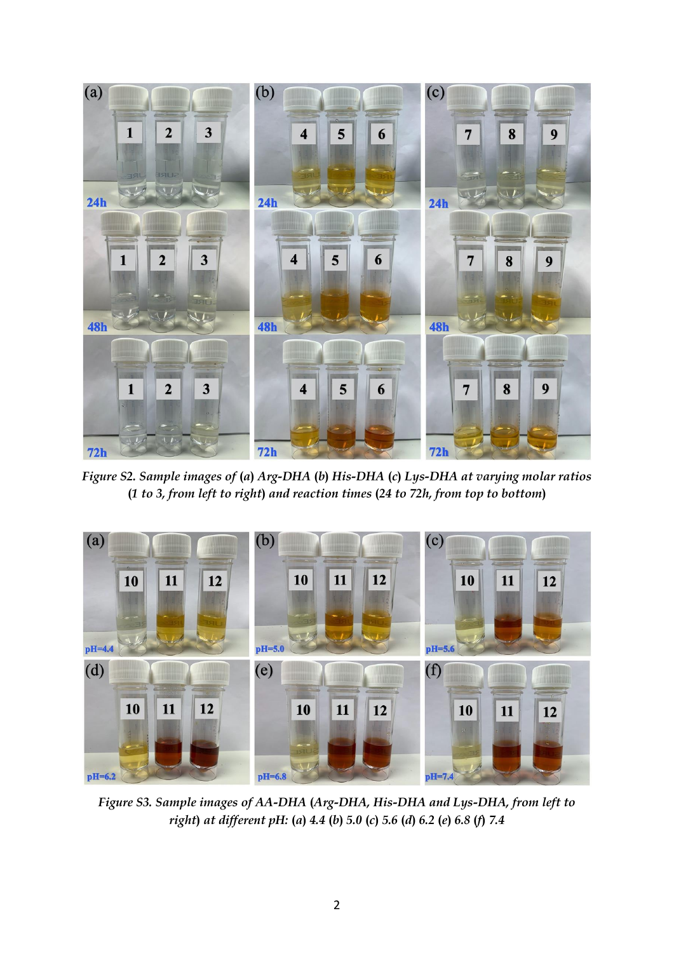

*Figure S2. Sample images of* **(***a***)** *Arg-DHA* **(***b***)** *His-DHA* **(***c***)** *Lys-DHA at varying molar ratios*  **(***1 to 3, from left to right***)** *and reaction times* **(***24 to 72h, from top to bottom***)**



*Figure S3. Sample images of AA-DHA* **(***Arg-DHA, His-DHA and Lys-DHA, from left to*  right) at different pH: (a) 4.4 (b) 5.0 (c) 5.6 (d) 6.2 (e) 6.8 (f) 7.4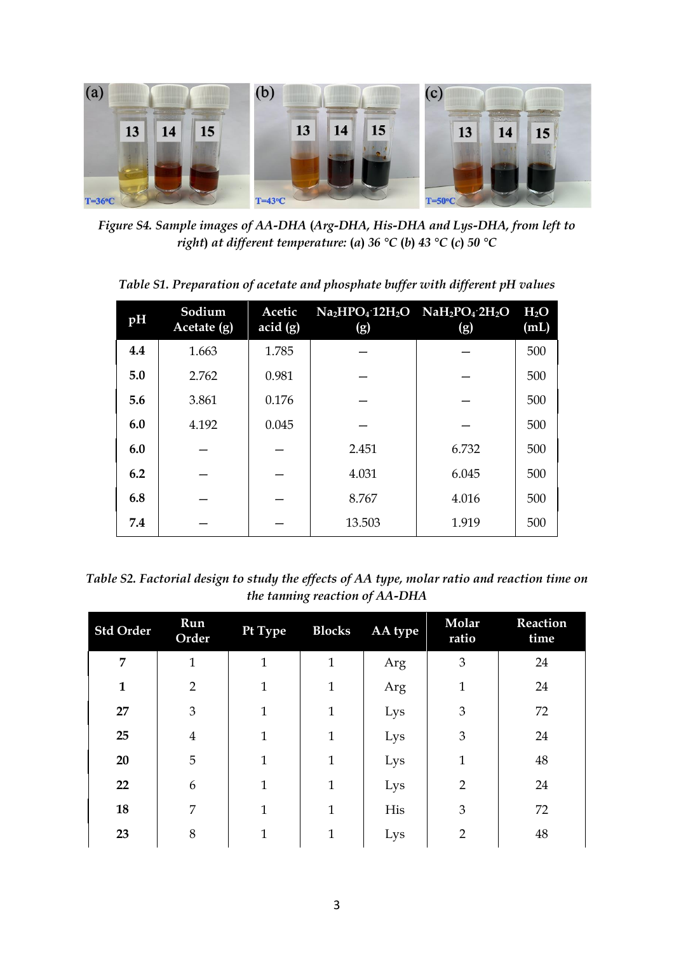

*Figure S4. Sample images of AA-DHA* **(***Arg-DHA, His-DHA and Lys-DHA, from left to right***)** *at different temperature:* **(***a***)** *36 °C* **(***b***)** *43 °C* **(***c***)** *50 °C* 

*Table S1. Preparation of acetate and phosphate buffer with different pH values* 

| pH  | Sodium<br>$Accitate$ (g) | Acetic<br>acid(g) | $Na2HPO4$ 12H <sub>2</sub> O $NaH2PO4$ 2H <sub>2</sub> O<br>(g) | (g)   | $H_2O$<br>(mL) |
|-----|--------------------------|-------------------|-----------------------------------------------------------------|-------|----------------|
| 4.4 | 1.663                    | 1.785             |                                                                 |       | 500            |
| 5.0 | 2.762                    | 0.981             |                                                                 |       | 500            |
| 5.6 | 3.861                    | 0.176             |                                                                 |       | 500            |
| 6.0 | 4.192                    | 0.045             |                                                                 |       | 500            |
| 6.0 |                          |                   | 2.451                                                           | 6.732 | 500            |
| 6.2 |                          |                   | 4.031                                                           | 6.045 | 500            |
| 6.8 |                          |                   | 8.767                                                           | 4.016 | 500            |
| 7.4 |                          |                   | 13.503                                                          | 1.919 | 500            |

*Table S2. Factorial design to study the effects of AA type, molar ratio and reaction time on the tanning reaction of AA-DHA* 

| <b>Std Order</b> | Run<br>Order   | Pt Type      | <b>Blocks</b> | AA type | Molar<br>ratio | Reaction<br>time |
|------------------|----------------|--------------|---------------|---------|----------------|------------------|
| 7                | $\mathbf{1}$   | $\mathbf{1}$ | $\mathbf{1}$  | Arg     | $\mathfrak{B}$ | 24               |
| $\mathbf{1}$     | $\overline{2}$ | $\mathbf{1}$ | $\mathbf{1}$  | Arg     | $\mathbf{1}$   | 24               |
| 27               | 3              | $\mathbf{1}$ | $\mathbf{1}$  | Lys     | 3              | 72               |
| 25               | $\overline{4}$ | $\mathbf{1}$ | 1             | Lys     | 3              | 24               |
| 20               | 5              | $\mathbf{1}$ | 1             | Lys     | 1              | 48               |
| 22               | 6              | $\mathbf{1}$ | $\mathbf{1}$  | Lys     | $\overline{2}$ | 24               |
| 18               | 7              | 1            | $\mathbf{1}$  | His     | 3              | 72               |
| 23               | 8              | $\mathbf{1}$ | $\mathbf{1}$  | Lys     | $\overline{2}$ | 48               |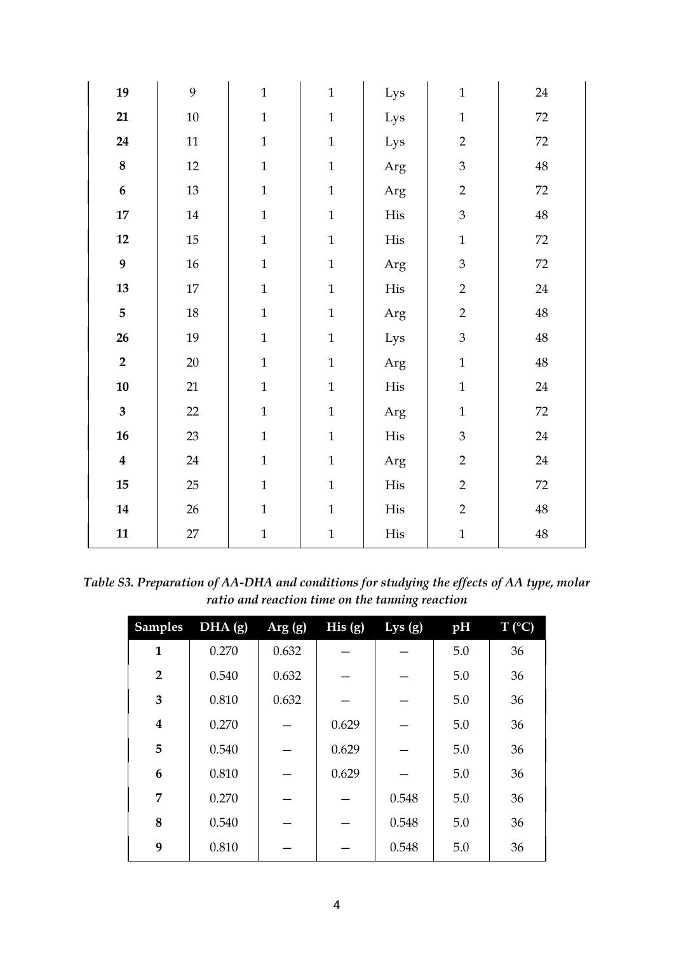| 19                      | 9      | $\mathbf{1}$ | $\mathbf{1}$ | Lys       | $\mathbf 1$               | 24                |
|-------------------------|--------|--------------|--------------|-----------|---------------------------|-------------------|
| 21                      | $10\,$ | $\mathbf{1}$ | $\mathbf{1}$ | Lys       | $\mathbf{1}$              | 72                |
| 24                      | $11\,$ | $\mathbf{1}$ | $\mathbf{1}$ | Lys       | $\overline{2}$            | 72                |
| $\bf 8$                 | 12     | $\mathbf{1}$ | $\mathbf{1}$ | Arg       | $\mathfrak{Z}$            | $48\,$            |
| $\boldsymbol{6}$        | 13     | $\mathbf{1}$ | $\mathbf{1}$ | Arg       | $\overline{2}$            | 72                |
| $\bf 17$                | $14\,$ | $\mathbf{1}$ | $\mathbf{1}$ | $\rm His$ | $\mathfrak{Z}$            | $\ensuremath{48}$ |
| 12                      | 15     | $\mathbf{1}$ | $\mathbf{1}$ | $\rm His$ | $\mathbf{1}$              | 72                |
| 9                       | $16\,$ | $\mathbf{1}$ | $\mathbf{1}$ | Arg       | $\ensuremath{\mathbf{3}}$ | 72                |
| 13                      | $17\,$ | $\mathbf{1}$ | $\mathbf{1}$ | $\rm His$ | $\overline{2}$            | 24                |
| 5                       | $18\,$ | $\mathbf{1}$ | $\mathbf{1}$ | Arg       | $\overline{2}$            | $\ensuremath{48}$ |
| 26                      | 19     | $\mathbf{1}$ | $\mathbf{1}$ | Lys       | $\mathfrak{Z}$            | $\ensuremath{48}$ |
| $\overline{2}$          | 20     | $\mathbf{1}$ | $\mathbf{1}$ | Arg       | $\mathbf{1}$              | $\ensuremath{48}$ |
| ${\bf 10}$              | 21     | $\mathbf{1}$ | $\mathbf{1}$ | His       | $\mathbf{1}$              | 24                |
| $\overline{\mathbf{3}}$ | 22     | $\mathbf{1}$ | $\mathbf{1}$ | Arg       | $\mathbf{1}$              | 72                |
| 16                      | 23     | $\mathbf{1}$ | $\mathbf{1}$ | $\rm His$ | $\mathfrak{Z}$            | 24                |
| $\boldsymbol{4}$        | 24     | $\mathbf{1}$ | $\mathbf{1}$ | Arg       | $\overline{2}$            | $24\,$            |
| 15                      | 25     | $\mathbf{1}$ | $\mathbf{1}$ | $\rm His$ | $\overline{2}$            | $72\,$            |
| 14                      | $26\,$ | $\mathbf 1$  | $\mathbf{1}$ | His       | $\overline{2}$            | 48                |
| 11                      | 27     | $\mathbf 1$  | $\mathbf{1}$ | His       | $\mathbf{1}$              | $48\,$            |

*Table S3. Preparation of AA-DHA and conditions for studying the effects of AA type, molar ratio and reaction time on the tanning reaction* 

| <b>Samples</b>          | DHA (g) | Arg(g) | His(g) | Lys $(g)$ | pH  | $T (^{\circ}C)$ |
|-------------------------|---------|--------|--------|-----------|-----|-----------------|
| $\mathbf{1}$            | 0.270   | 0.632  |        |           | 5.0 | 36              |
| $\overline{2}$          | 0.540   | 0.632  |        |           | 5.0 | 36              |
| 3                       | 0.810   | 0.632  |        |           | 5.0 | 36              |
| $\overline{\mathbf{4}}$ | 0.270   |        | 0.629  |           | 5.0 | 36              |
| 5                       | 0.540   |        | 0.629  |           | 5.0 | 36              |
| 6                       | 0.810   |        | 0.629  |           | 5.0 | 36              |
| 7                       | 0.270   |        |        | 0.548     | 5.0 | 36              |
| 8                       | 0.540   |        |        | 0.548     | 5.0 | 36              |
| 9                       | 0.810   |        |        | 0.548     | 5.0 | 36              |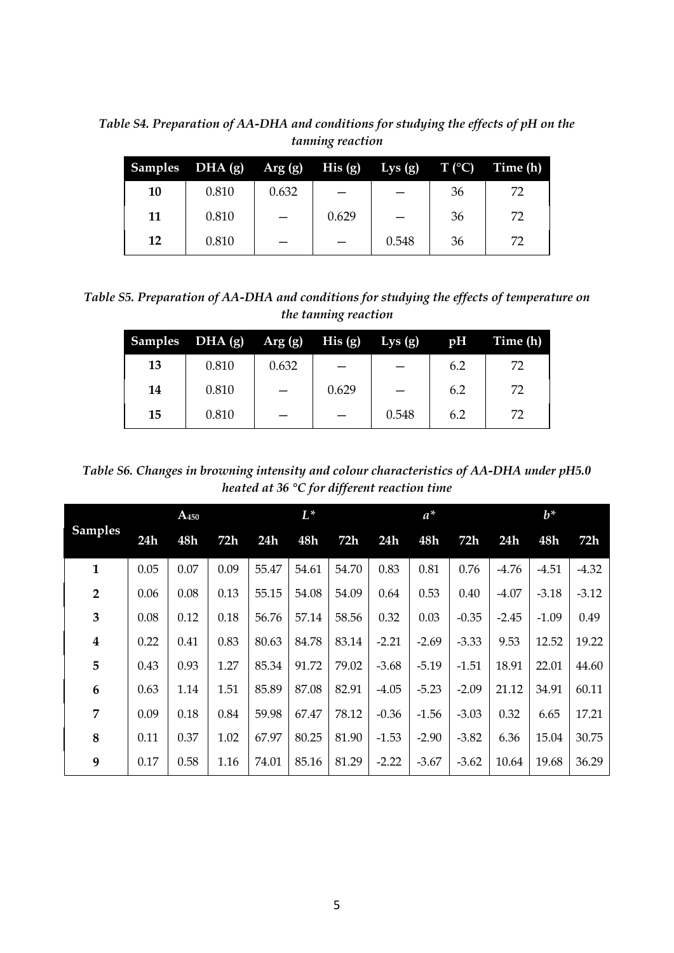*Table S4. Preparation of AA-DHA and conditions for studying the effects of pH on the tanning reaction* 

|    | Samples $DHA(g)$ Arg $(g)$ His $(g)$ |       |       | Lys (g) $T({}^{\circ}C)$ |    | Time (h) |
|----|--------------------------------------|-------|-------|--------------------------|----|----------|
| 10 | 0.810                                | 0.632 |       |                          | 36 | 72       |
| 11 | 0.810                                |       | 0.629 |                          | 36 | 72       |
| 12 | 0.810                                |       |       | 0.548                    | 36 | 72       |

*Table S5. Preparation of AA-DHA and conditions for studying the effects of temperature on the tanning reaction* 

|    | Samples DHA (g) | $Arg(g)$ His (g) |       | Lys(g) | pH  | Time (h) |
|----|-----------------|------------------|-------|--------|-----|----------|
| 13 | 0.810           | 0.632            |       |        | 6.2 | 72       |
| 14 | 0.810           |                  | 0.629 |        | 6.2 | 72       |
| 15 | 0.810           |                  |       | 0.548  | 6.2 | 72       |

*Table S6. Changes in browning intensity and colour characteristics of AA-DHA under pH5.0 heated at 36 °C for different reaction time* 

|                  | $A_{450}$ |      |      |       | $L^*$ |       |         | $a^*$   |         |         | $b^*$   |         |  |
|------------------|-----------|------|------|-------|-------|-------|---------|---------|---------|---------|---------|---------|--|
| <b>Samples</b>   | 24h       | 48h  | 72h  | 24h   | 48h   | 72h   | 24h     | 48h     | 72h     | 24h     | 48h     | 72h     |  |
| $\mathbf{1}$     | 0.05      | 0.07 | 0.09 | 55.47 | 54.61 | 54.70 | 0.83    | 0.81    | 0.76    | $-4.76$ | $-4.51$ | $-4.32$ |  |
| $\overline{2}$   | 0.06      | 0.08 | 0.13 | 55.15 | 54.08 | 54.09 | 0.64    | 0.53    | 0.40    | $-4.07$ | $-3.18$ | $-3.12$ |  |
| 3                | 0.08      | 0.12 | 0.18 | 56.76 | 57.14 | 58.56 | 0.32    | 0.03    | $-0.35$ | $-2.45$ | $-1.09$ | 0.49    |  |
| $\boldsymbol{4}$ | 0.22      | 0.41 | 0.83 | 80.63 | 84.78 | 83.14 | $-2.21$ | $-2.69$ | $-3.33$ | 9.53    | 12.52   | 19.22   |  |
| 5                | 0.43      | 0.93 | 1.27 | 85.34 | 91.72 | 79.02 | $-3.68$ | $-5.19$ | $-1.51$ | 18.91   | 22.01   | 44.60   |  |
| 6                | 0.63      | 1.14 | 1.51 | 85.89 | 87.08 | 82.91 | $-4.05$ | $-5.23$ | $-2.09$ | 21.12   | 34.91   | 60.11   |  |
| 7                | 0.09      | 0.18 | 0.84 | 59.98 | 67.47 | 78.12 | $-0.36$ | $-1.56$ | $-3.03$ | 0.32    | 6.65    | 17.21   |  |
| 8                | 0.11      | 0.37 | 1.02 | 67.97 | 80.25 | 81.90 | $-1.53$ | $-2.90$ | $-3.82$ | 6.36    | 15.04   | 30.75   |  |
| 9                | 0.17      | 0.58 | 1.16 | 74.01 | 85.16 | 81.29 | $-2.22$ | $-3.67$ | $-3.62$ | 10.64   | 19.68   | 36.29   |  |